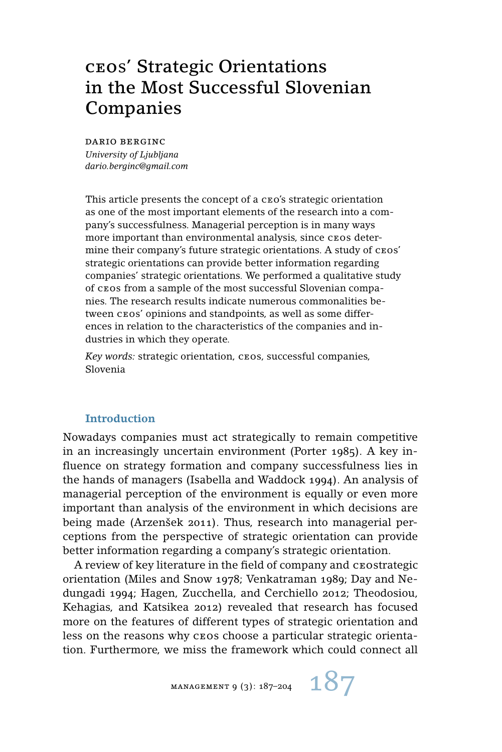# ceos' Strategic Orientations in the Most Successful Slovenian Companies

dario berginc *University of Ljubljana dario.berginc@gmail.com*

This article presents the concept of a ceo's strategic orientation as one of the most important elements of the research into a company's successfulness. Managerial perception is in many ways more important than environmental analysis, since ceos determine their company's future strategic orientations. A study of  $c\texttt{eos}'$ strategic orientations can provide better information regarding companies' strategic orientations. We performed a qualitative study of ceos from a sample of the most successful Slovenian companies. The research results indicate numerous commonalities between ceos' opinions and standpoints, as well as some differences in relation to the characteristics of the companies and industries in which they operate.

*Key words:* strategic orientation, ceos, successful companies, Slovenia

# **Introduction**

Nowadays companies must act strategically to remain competitive in an increasingly uncertain environment (Porter 1985). A key influence on strategy formation and company successfulness lies in the hands of managers (Isabella and Waddock 1994). An analysis of managerial perception of the environment is equally or even more important than analysis of the environment in which decisions are being made (Arzenšek 2011). Thus, research into managerial perceptions from the perspective of strategic orientation can provide better information regarding a company's strategic orientation.

A review of key literature in the field of company and ceostrategic orientation (Miles and Snow 1978; Venkatraman 1989; Day and Nedungadi 1994; Hagen, Zucchella, and Cerchiello 2012; Theodosiou, Kehagias, and Katsikea 2012) revealed that research has focused more on the features of different types of strategic orientation and less on the reasons why ceos choose a particular strategic orientation. Furthermore, we miss the framework which could connect all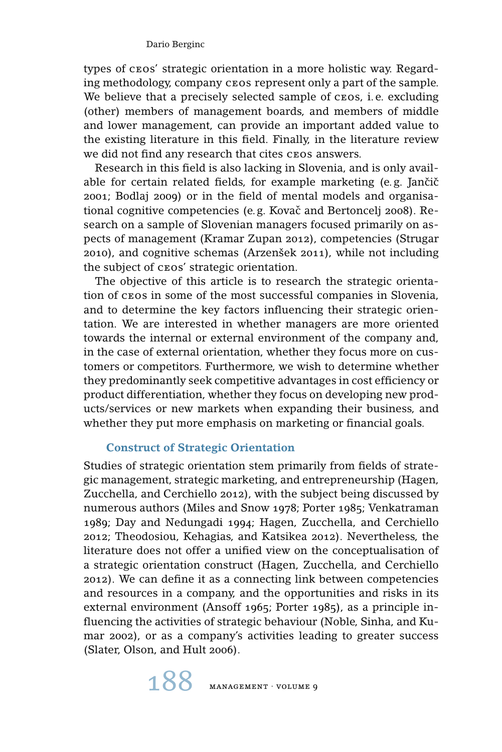types of ceos' strategic orientation in a more holistic way. Regarding methodology, company ceos represent only a part of the sample. We believe that a precisely selected sample of cros, *i.e.* excluding (other) members of management boards, and members of middle and lower management, can provide an important added value to the existing literature in this field. Finally, in the literature review we did not find any research that cites ceos answers.

Research in this field is also lacking in Slovenia, and is only available for certain related fields, for example marketing (e.g. Jančič 2001; Bodlaj 2009) or in the field of mental models and organisational cognitive competencies (e.g. Kovač and Bertoncelj 2008). Research on a sample of Slovenian managers focused primarily on aspects of management (Kramar Zupan 2012), competencies (Strugar 2010), and cognitive schemas (Arzenšek 2011), while not including the subject of ceos' strategic orientation.

The objective of this article is to research the strategic orientation of ceos in some of the most successful companies in Slovenia, and to determine the key factors influencing their strategic orientation. We are interested in whether managers are more oriented towards the internal or external environment of the company and, in the case of external orientation, whether they focus more on customers or competitors. Furthermore, we wish to determine whether they predominantly seek competitive advantages in cost efficiency or product differentiation, whether they focus on developing new products/services or new markets when expanding their business, and whether they put more emphasis on marketing or financial goals.

# **Construct of Strategic Orientation**

Studies of strategic orientation stem primarily from fields of strategic management, strategic marketing, and entrepreneurship (Hagen, Zucchella, and Cerchiello 2012), with the subject being discussed by numerous authors (Miles and Snow 1978; Porter 1985; Venkatraman 1989; Day and Nedungadi 1994; Hagen, Zucchella, and Cerchiello 2012; Theodosiou, Kehagias, and Katsikea 2012). Nevertheless, the literature does not offer a unified view on the conceptualisation of a strategic orientation construct (Hagen, Zucchella, and Cerchiello 2012). We can define it as a connecting link between competencies and resources in a company, and the opportunities and risks in its external environment (Ansoff 1965; Porter 1985), as a principle influencing the activities of strategic behaviour (Noble, Sinha, and Kumar 2002), or as a company's activities leading to greater success (Slater, Olson, and Hult 2006).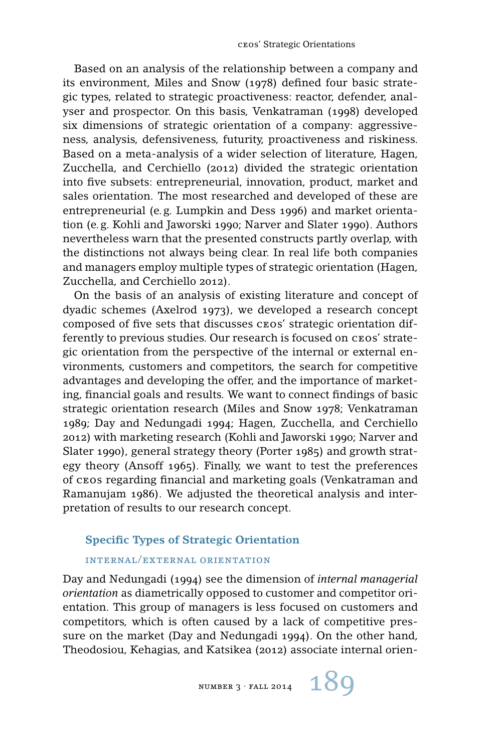Based on an analysis of the relationship between a company and its environment, Miles and Snow (1978) defined four basic strategic types, related to strategic proactiveness: reactor, defender, analyser and prospector. On this basis, Venkatraman (1998) developed six dimensions of strategic orientation of a company: aggressiveness, analysis, defensiveness, futurity, proactiveness and riskiness. Based on a meta-analysis of a wider selection of literature, Hagen, Zucchella, and Cerchiello (2012) divided the strategic orientation into five subsets: entrepreneurial, innovation, product, market and sales orientation. The most researched and developed of these are entrepreneurial (e. g. Lumpkin and Dess 1996) and market orientation (e. g. Kohli and Jaworski 1990; Narver and Slater 1990). Authors nevertheless warn that the presented constructs partly overlap, with the distinctions not always being clear. In real life both companies and managers employ multiple types of strategic orientation (Hagen, Zucchella, and Cerchiello 2012).

On the basis of an analysis of existing literature and concept of dyadic schemes (Axelrod 1973), we developed a research concept composed of five sets that discusses ceos' strategic orientation differently to previous studies. Our research is focused on ceos' strategic orientation from the perspective of the internal or external environments, customers and competitors, the search for competitive advantages and developing the offer, and the importance of marketing, financial goals and results. We want to connect findings of basic strategic orientation research (Miles and Snow 1978; Venkatraman 1989; Day and Nedungadi 1994; Hagen, Zucchella, and Cerchiello 2012) with marketing research (Kohli and Jaworski 1990; Narver and Slater 1990), general strategy theory (Porter 1985) and growth strategy theory (Ansoff 1965). Finally, we want to test the preferences of ceos regarding financial and marketing goals (Venkatraman and Ramanujam 1986). We adjusted the theoretical analysis and interpretation of results to our research concept.

## **Specific Types of Strategic Orientation**

## internal/external orientation

Day and Nedungadi (1994) see the dimension of *internal managerial orientation* as diametrically opposed to customer and competitor orientation. This group of managers is less focused on customers and competitors, which is often caused by a lack of competitive pressure on the market (Day and Nedungadi 1994). On the other hand, Theodosiou, Kehagias, and Katsikea (2012) associate internal orien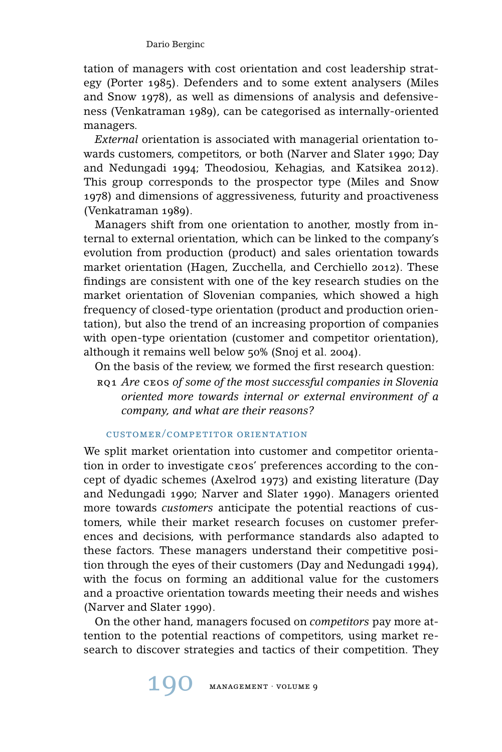tation of managers with cost orientation and cost leadership strategy (Porter 1985). Defenders and to some extent analysers (Miles and Snow 1978), as well as dimensions of analysis and defensiveness (Venkatraman 1989), can be categorised as internally-oriented managers.

*External* orientation is associated with managerial orientation towards customers, competitors, or both (Narver and Slater 1990; Day and Nedungadi 1994; Theodosiou, Kehagias, and Katsikea 2012). This group corresponds to the prospector type (Miles and Snow 1978) and dimensions of aggressiveness, futurity and proactiveness (Venkatraman 1989).

Managers shift from one orientation to another, mostly from internal to external orientation, which can be linked to the company's evolution from production (product) and sales orientation towards market orientation (Hagen, Zucchella, and Cerchiello 2012). These findings are consistent with one of the key research studies on the market orientation of Slovenian companies, which showed a high frequency of closed-type orientation (product and production orientation), but also the trend of an increasing proportion of companies with open-type orientation (customer and competitor orientation), although it remains well below 50% (Snoj et al. 2004).

On the basis of the review, we formed the first research question:

rq1 *Are* ceos *of some of the most successful companies in Slovenia oriented more towards internal or external environment of a company, and what are their reasons?*

## customer/competitor orientation

We split market orientation into customer and competitor orientation in order to investigate ceos' preferences according to the concept of dyadic schemes (Axelrod 1973) and existing literature (Day and Nedungadi 1990; Narver and Slater 1990). Managers oriented more towards *customers* anticipate the potential reactions of customers, while their market research focuses on customer preferences and decisions, with performance standards also adapted to these factors. These managers understand their competitive position through the eyes of their customers (Day and Nedungadi 1994), with the focus on forming an additional value for the customers and a proactive orientation towards meeting their needs and wishes (Narver and Slater 1990).

On the other hand, managers focused on *competitors* pay more attention to the potential reactions of competitors, using market research to discover strategies and tactics of their competition. They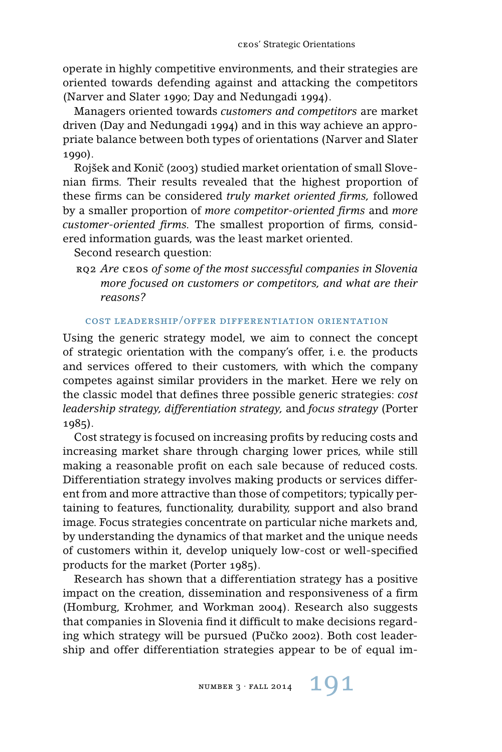operate in highly competitive environments, and their strategies are oriented towards defending against and attacking the competitors (Narver and Slater 1990; Day and Nedungadi 1994).

Managers oriented towards *customers and competitors* are market driven (Day and Nedungadi 1994) and in this way achieve an appropriate balance between both types of orientations (Narver and Slater 1990).

Rojšek and Konič (2003) studied market orientation of small Slovenian firms. Their results revealed that the highest proportion of these firms can be considered *truly market oriented firms,* followed by a smaller proportion of *more competitor-oriented firms* and *more customer-oriented firms.* The smallest proportion of firms, considered information guards, was the least market oriented.

Second research question:

rq2 *Are* ceos *of some of the most successful companies in Slovenia more focused on customers or competitors, and what are their reasons?*

# cost leadership/offer differentiation orientation

Using the generic strategy model, we aim to connect the concept of strategic orientation with the company's offer, i. e. the products and services offered to their customers, with which the company competes against similar providers in the market. Here we rely on the classic model that defines three possible generic strategies: *cost leadership strategy, differentiation strategy,* and *focus strategy* (Porter 1985).

Cost strategy is focused on increasing profits by reducing costs and increasing market share through charging lower prices, while still making a reasonable profit on each sale because of reduced costs. Differentiation strategy involves making products or services different from and more attractive than those of competitors; typically pertaining to features, functionality, durability, support and also brand image. Focus strategies concentrate on particular niche markets and, by understanding the dynamics of that market and the unique needs of customers within it, develop uniquely low-cost or well-specified products for the market (Porter 1985).

Research has shown that a differentiation strategy has a positive impact on the creation, dissemination and responsiveness of a firm (Homburg, Krohmer, and Workman 2004). Research also suggests that companies in Slovenia find it difficult to make decisions regarding which strategy will be pursued (Pučko 2002). Both cost leadership and offer differentiation strategies appear to be of equal im-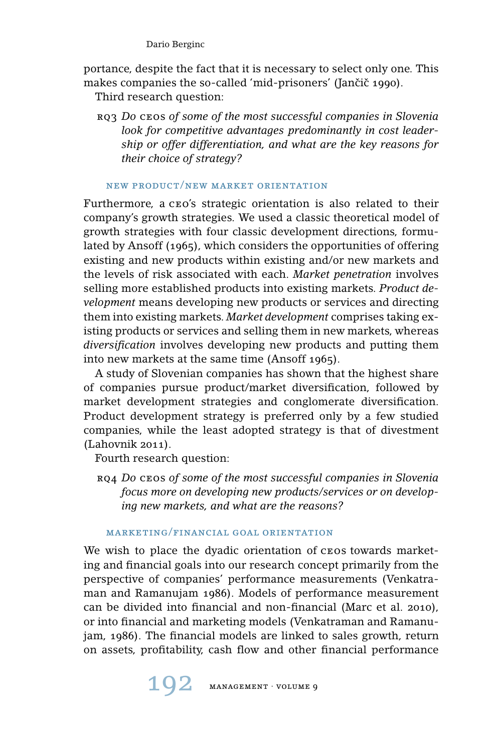portance, despite the fact that it is necessary to select only one. This makes companies the so-called 'mid-prisoners' (Jančič 1990).

Third research question:

rq3 *Do* ceos *of some of the most successful companies in Slovenia look for competitive advantages predominantly in cost leadership or offer differentiation, and what are the key reasons for their choice of strategy?*

# new product/new market orientation

Furthermore, a ceo's strategic orientation is also related to their company's growth strategies. We used a classic theoretical model of growth strategies with four classic development directions, formulated by Ansoff (1965), which considers the opportunities of offering existing and new products within existing and/or new markets and the levels of risk associated with each. *Market penetration* involves selling more established products into existing markets. *Product development* means developing new products or services and directing them into existing markets. *Market development* comprises taking existing products or services and selling them in new markets, whereas *diversification* involves developing new products and putting them into new markets at the same time (Ansoff 1965).

A study of Slovenian companies has shown that the highest share of companies pursue product/market diversification, followed by market development strategies and conglomerate diversification. Product development strategy is preferred only by a few studied companies, while the least adopted strategy is that of divestment (Lahovnik 2011).

Fourth research question:

rq4 *Do* ceos *of some of the most successful companies in Slovenia focus more on developing new products/services or on developing new markets, and what are the reasons?*

# marketing/financial goal orientation

We wish to place the dyadic orientation of ceos towards marketing and financial goals into our research concept primarily from the perspective of companies' performance measurements (Venkatraman and Ramanujam 1986). Models of performance measurement can be divided into financial and non-financial (Marc et al. 2010), or into financial and marketing models (Venkatraman and Ramanujam, 1986). The financial models are linked to sales growth, return on assets, profitability, cash flow and other financial performance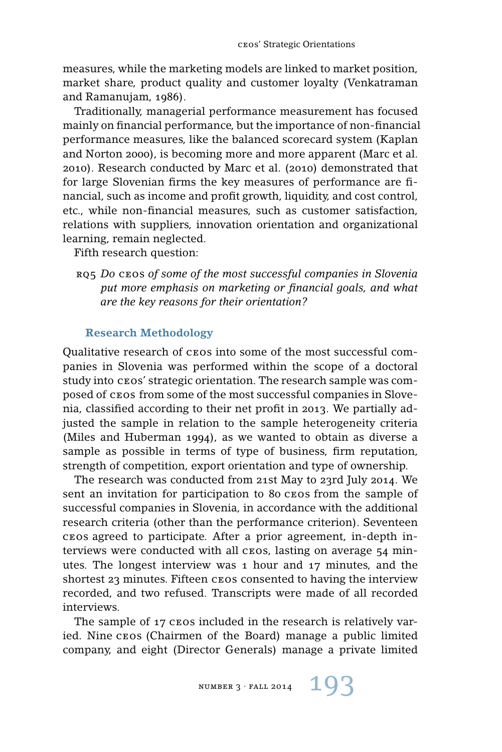measures, while the marketing models are linked to market position, market share, product quality and customer loyalty (Venkatraman and Ramanujam, 1986).

Traditionally, managerial performance measurement has focused mainly on financial performance, but the importance of non-financial performance measures, like the balanced scorecard system (Kaplan and Norton 2000), is becoming more and more apparent (Marc et al. 2010). Research conducted by Marc et al. (2010) demonstrated that for large Slovenian firms the key measures of performance are financial, such as income and profit growth, liquidity, and cost control, etc., while non-financial measures, such as customer satisfaction, relations with suppliers, innovation orientation and organizational learning, remain neglected.

Fifth research question:

# **Research Methodology**

Qualitative research of ceos into some of the most successful companies in Slovenia was performed within the scope of a doctoral study into ceos' strategic orientation. The research sample was composed of ceos from some of the most successful companies in Slovenia, classified according to their net profit in 2013. We partially adjusted the sample in relation to the sample heterogeneity criteria (Miles and Huberman 1994), as we wanted to obtain as diverse a sample as possible in terms of type of business, firm reputation, strength of competition, export orientation and type of ownership.

The research was conducted from 21st May to 23rd July 2014. We sent an invitation for participation to 80 ceos from the sample of successful companies in Slovenia, in accordance with the additional research criteria (other than the performance criterion). Seventeen ceos agreed to participate. After a prior agreement, in-depth interviews were conducted with all ceos, lasting on average 54 minutes. The longest interview was 1 hour and 17 minutes, and the shortest 23 minutes. Fifteen ceos consented to having the interview recorded, and two refused. Transcripts were made of all recorded interviews.

The sample of 17 CEOS included in the research is relatively varied. Nine ceos (Chairmen of the Board) manage a public limited company, and eight (Director Generals) manage a private limited

rq5 *Do* ceos *of some of the most successful companies in Slovenia put more emphasis on marketing or financial goals, and what are the key reasons for their orientation?*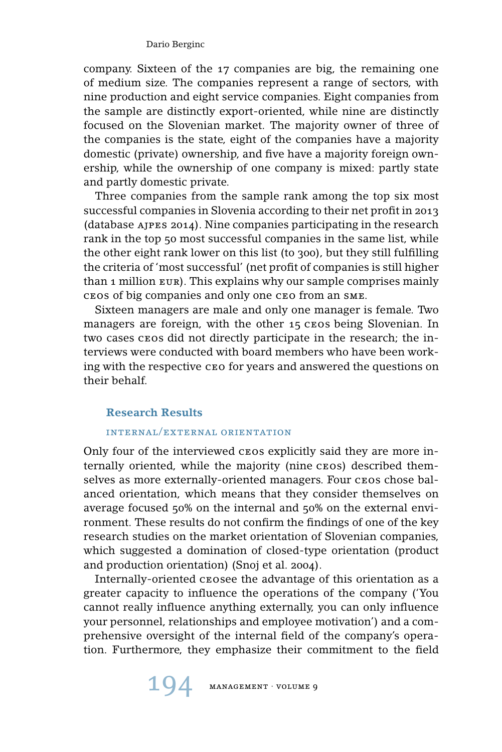company. Sixteen of the 17 companies are big, the remaining one of medium size. The companies represent a range of sectors, with nine production and eight service companies. Eight companies from the sample are distinctly export-oriented, while nine are distinctly focused on the Slovenian market. The majority owner of three of the companies is the state, eight of the companies have a majority domestic (private) ownership, and five have a majority foreign ownership, while the ownership of one company is mixed: partly state and partly domestic private.

Three companies from the sample rank among the top six most successful companies in Slovenia according to their net profit in 2013 (database ajpes 2014). Nine companies participating in the research rank in the top 50 most successful companies in the same list, while the other eight rank lower on this list (to 300), but they still fulfilling the criteria of 'most successful' (net profit of companies is still higher than 1 million eur). This explains why our sample comprises mainly ceos of big companies and only one ceo from an sme.

Sixteen managers are male and only one manager is female. Two managers are foreign, with the other 15 ceos being Slovenian. In two cases ceos did not directly participate in the research; the interviews were conducted with board members who have been working with the respective ceo for years and answered the questions on their behalf.

## **Research Results**

## internal/external orientation

Only four of the interviewed ceos explicitly said they are more internally oriented, while the majority (nine ceos) described themselves as more externally-oriented managers. Four cros chose balanced orientation, which means that they consider themselves on average focused 50% on the internal and 50% on the external environment. These results do not confirm the findings of one of the key research studies on the market orientation of Slovenian companies, which suggested a domination of closed-type orientation (product and production orientation) (Snoj et al. 2004).

Internally-oriented ceosee the advantage of this orientation as a greater capacity to influence the operations of the company ('You cannot really influence anything externally, you can only influence your personnel, relationships and employee motivation') and a comprehensive oversight of the internal field of the company's operation. Furthermore, they emphasize their commitment to the field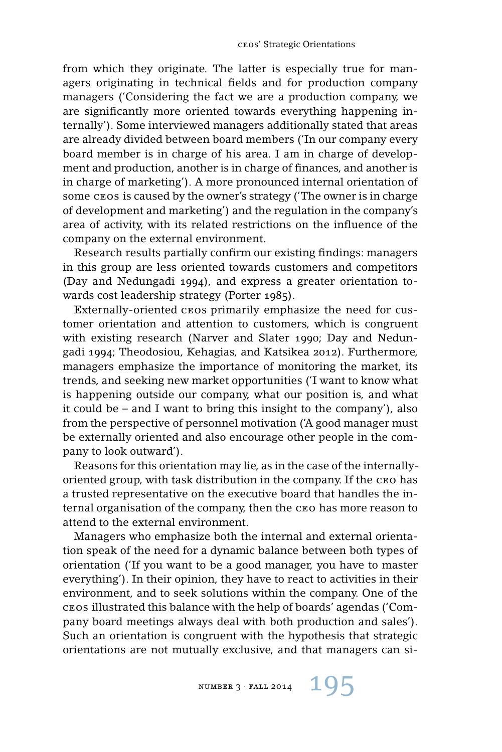from which they originate. The latter is especially true for managers originating in technical fields and for production company managers ('Considering the fact we are a production company, we are significantly more oriented towards everything happening internally'). Some interviewed managers additionally stated that areas are already divided between board members ('In our company every board member is in charge of his area. I am in charge of development and production, another is in charge of finances, and another is in charge of marketing'). A more pronounced internal orientation of some cros is caused by the owner's strategy ('The owner is in charge of development and marketing') and the regulation in the company's area of activity, with its related restrictions on the influence of the company on the external environment.

Research results partially confirm our existing findings: managers in this group are less oriented towards customers and competitors (Day and Nedungadi 1994), and express a greater orientation towards cost leadership strategy (Porter 1985).

Externally-oriented ceos primarily emphasize the need for customer orientation and attention to customers, which is congruent with existing research (Narver and Slater 1990; Day and Nedungadi 1994; Theodosiou, Kehagias, and Katsikea 2012). Furthermore, managers emphasize the importance of monitoring the market, its trends, and seeking new market opportunities ('I want to know what is happening outside our company, what our position is, and what it could be – and I want to bring this insight to the company'), also from the perspective of personnel motivation ('A good manager must be externally oriented and also encourage other people in the company to look outward').

Reasons for this orientation may lie, as in the case of the internallyoriented group, with task distribution in the company. If the ceo has a trusted representative on the executive board that handles the internal organisation of the company, then the ceo has more reason to attend to the external environment.

Managers who emphasize both the internal and external orientation speak of the need for a dynamic balance between both types of orientation ('If you want to be a good manager, you have to master everything'). In their opinion, they have to react to activities in their environment, and to seek solutions within the company. One of the ceos illustrated this balance with the help of boards' agendas ('Company board meetings always deal with both production and sales'). Such an orientation is congruent with the hypothesis that strategic orientations are not mutually exclusive, and that managers can si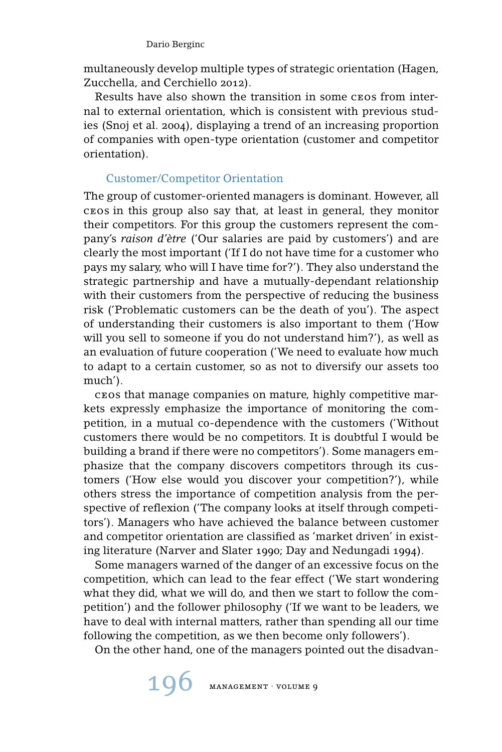multaneously develop multiple types of strategic orientation (Hagen, Zucchella, and Cerchiello 2012).

Results have also shown the transition in some ceos from internal to external orientation, which is consistent with previous studies (Snoj et al. 2004), displaying a trend of an increasing proportion of companies with open-type orientation (customer and competitor orientation).

# Customer/Competitor Orientation

The group of customer-oriented managers is dominant. However, all ceos in this group also say that, at least in general, they monitor their competitors. For this group the customers represent the company's *raison d'ètre* ('Our salaries are paid by customers') and are clearly the most important ('If I do not have time for a customer who pays my salary, who will I have time for?'). They also understand the strategic partnership and have a mutually-dependant relationship with their customers from the perspective of reducing the business risk ('Problematic customers can be the death of you'). The aspect of understanding their customers is also important to them ('How will you sell to someone if you do not understand him?'), as well as an evaluation of future cooperation ('We need to evaluate how much to adapt to a certain customer, so as not to diversify our assets too much').

ceos that manage companies on mature, highly competitive markets expressly emphasize the importance of monitoring the competition, in a mutual co-dependence with the customers ('Without customers there would be no competitors. It is doubtful I would be building a brand if there were no competitors'). Some managers emphasize that the company discovers competitors through its customers ('How else would you discover your competition?'), while others stress the importance of competition analysis from the perspective of reflexion ('The company looks at itself through competitors'). Managers who have achieved the balance between customer and competitor orientation are classified as 'market driven' in existing literature (Narver and Slater 1990; Day and Nedungadi 1994).

Some managers warned of the danger of an excessive focus on the competition, which can lead to the fear effect ('We start wondering what they did, what we will do, and then we start to follow the competition') and the follower philosophy ('If we want to be leaders, we have to deal with internal matters, rather than spending all our time following the competition, as we then become only followers').

On the other hand, one of the managers pointed out the disadvan-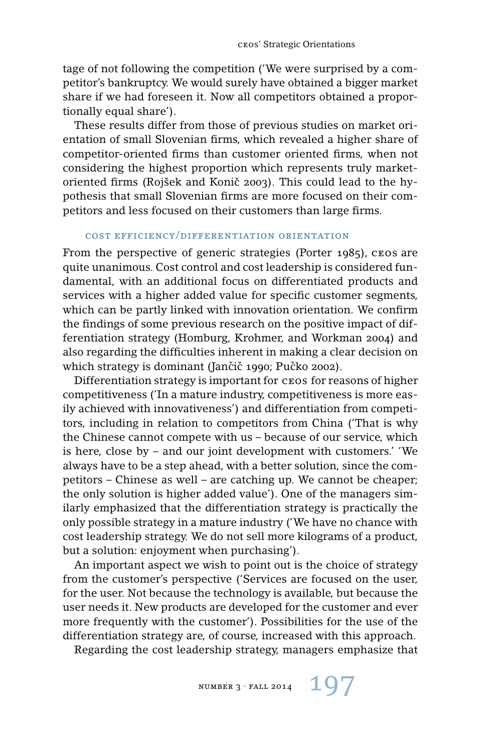tage of not following the competition ('We were surprised by a competitor's bankruptcy. We would surely have obtained a bigger market share if we had foreseen it. Now all competitors obtained a proportionally equal share').

These results differ from those of previous studies on market orientation of small Slovenian firms, which revealed a higher share of competitor-oriented firms than customer oriented firms, when not considering the highest proportion which represents truly marketoriented firms (Rojšek and Konič 2003). This could lead to the hypothesis that small Slovenian firms are more focused on their competitors and less focused on their customers than large firms.

#### cost efficiency/differentiation orientation

From the perspective of generic strategies (Porter 1985), ceos are quite unanimous. Cost control and cost leadership is considered fundamental, with an additional focus on differentiated products and services with a higher added value for specific customer segments, which can be partly linked with innovation orientation. We confirm the findings of some previous research on the positive impact of differentiation strategy (Homburg, Krohmer, and Workman 2004) and also regarding the difficulties inherent in making a clear decision on which strategy is dominant (Jančič 1990; Pučko 2002).

Differentiation strategy is important for ceos for reasons of higher competitiveness ('In a mature industry, competitiveness is more easily achieved with innovativeness') and differentiation from competitors, including in relation to competitors from China ('That is why the Chinese cannot compete with us – because of our service, which is here, close by – and our joint development with customers.' 'We always have to be a step ahead, with a better solution, since the competitors – Chinese as well – are catching up. We cannot be cheaper; the only solution is higher added value'). One of the managers similarly emphasized that the differentiation strategy is practically the only possible strategy in a mature industry ('We have no chance with cost leadership strategy. We do not sell more kilograms of a product, but a solution: enjoyment when purchasing').

An important aspect we wish to point out is the choice of strategy from the customer's perspective ('Services are focused on the user, for the user. Not because the technology is available, but because the user needs it. New products are developed for the customer and ever more frequently with the customer'). Possibilities for the use of the differentiation strategy are, of course, increased with this approach.

Regarding the cost leadership strategy, managers emphasize that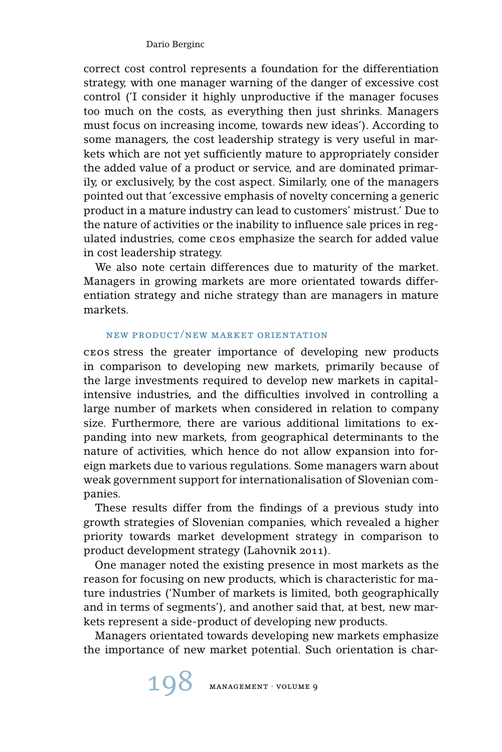correct cost control represents a foundation for the differentiation strategy, with one manager warning of the danger of excessive cost control ('I consider it highly unproductive if the manager focuses too much on the costs, as everything then just shrinks. Managers must focus on increasing income, towards new ideas'). According to some managers, the cost leadership strategy is very useful in markets which are not yet sufficiently mature to appropriately consider the added value of a product or service, and are dominated primarily, or exclusively, by the cost aspect. Similarly, one of the managers pointed out that 'excessive emphasis of novelty concerning a generic product in a mature industry can lead to customers' mistrust.' Due to the nature of activities or the inability to influence sale prices in regulated industries, come ceos emphasize the search for added value in cost leadership strategy.

We also note certain differences due to maturity of the market. Managers in growing markets are more orientated towards differentiation strategy and niche strategy than are managers in mature markets.

# new product/new market orientation

ceos stress the greater importance of developing new products in comparison to developing new markets, primarily because of the large investments required to develop new markets in capitalintensive industries, and the difficulties involved in controlling a large number of markets when considered in relation to company size. Furthermore, there are various additional limitations to expanding into new markets, from geographical determinants to the nature of activities, which hence do not allow expansion into foreign markets due to various regulations. Some managers warn about weak government support for internationalisation of Slovenian companies.

These results differ from the findings of a previous study into growth strategies of Slovenian companies, which revealed a higher priority towards market development strategy in comparison to product development strategy (Lahovnik 2011).

One manager noted the existing presence in most markets as the reason for focusing on new products, which is characteristic for mature industries ('Number of markets is limited, both geographically and in terms of segments'), and another said that, at best, new markets represent a side-product of developing new products.

Managers orientated towards developing new markets emphasize the importance of new market potential. Such orientation is char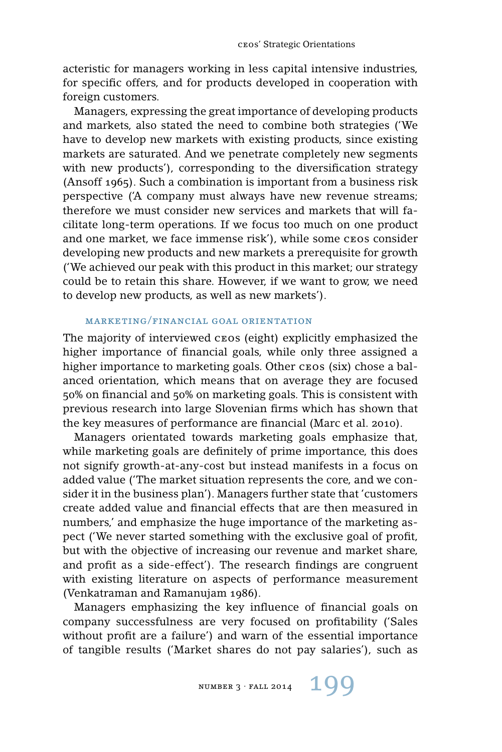acteristic for managers working in less capital intensive industries, for specific offers, and for products developed in cooperation with foreign customers.

Managers, expressing the great importance of developing products and markets, also stated the need to combine both strategies ('We have to develop new markets with existing products, since existing markets are saturated. And we penetrate completely new segments with new products'), corresponding to the diversification strategy (Ansoff 1965). Such a combination is important from a business risk perspective ('A company must always have new revenue streams; therefore we must consider new services and markets that will facilitate long-term operations. If we focus too much on one product and one market, we face immense risk'), while some ceos consider developing new products and new markets a prerequisite for growth ('We achieved our peak with this product in this market; our strategy could be to retain this share. However, if we want to grow, we need to develop new products, as well as new markets').

# marketing/financial goal orientation

The majority of interviewed cros (eight) explicitly emphasized the higher importance of financial goals, while only three assigned a higher importance to marketing goals. Other cros (six) chose a balanced orientation, which means that on average they are focused 50% on financial and 50% on marketing goals. This is consistent with previous research into large Slovenian firms which has shown that the key measures of performance are financial (Marc et al. 2010).

Managers orientated towards marketing goals emphasize that, while marketing goals are definitely of prime importance, this does not signify growth-at-any-cost but instead manifests in a focus on added value ('The market situation represents the core, and we consider it in the business plan'). Managers further state that 'customers create added value and financial effects that are then measured in numbers,' and emphasize the huge importance of the marketing aspect ('We never started something with the exclusive goal of profit, but with the objective of increasing our revenue and market share, and profit as a side-effect'). The research findings are congruent with existing literature on aspects of performance measurement (Venkatraman and Ramanujam 1986).

Managers emphasizing the key influence of financial goals on company successfulness are very focused on profitability ('Sales without profit are a failure') and warn of the essential importance of tangible results ('Market shares do not pay salaries'), such as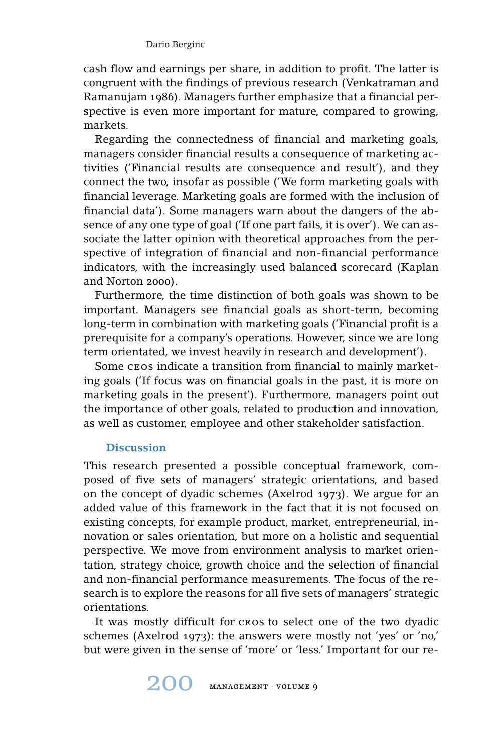cash flow and earnings per share, in addition to profit. The latter is congruent with the findings of previous research (Venkatraman and Ramanujam 1986). Managers further emphasize that a financial perspective is even more important for mature, compared to growing, markets.

Regarding the connectedness of financial and marketing goals, managers consider financial results a consequence of marketing activities ('Financial results are consequence and result'), and they connect the two, insofar as possible ('We form marketing goals with financial leverage. Marketing goals are formed with the inclusion of financial data'). Some managers warn about the dangers of the absence of any one type of goal ('If one part fails, it is over'). We can associate the latter opinion with theoretical approaches from the perspective of integration of financial and non-financial performance indicators, with the increasingly used balanced scorecard (Kaplan and Norton 2000).

Furthermore, the time distinction of both goals was shown to be important. Managers see financial goals as short-term, becoming long-term in combination with marketing goals ('Financial profit is a prerequisite for a company's operations. However, since we are long term orientated, we invest heavily in research and development').

Some ceos indicate a transition from financial to mainly marketing goals ('If focus was on financial goals in the past, it is more on marketing goals in the present'). Furthermore, managers point out the importance of other goals, related to production and innovation, as well as customer, employee and other stakeholder satisfaction.

# **Discussion**

This research presented a possible conceptual framework, composed of five sets of managers' strategic orientations, and based on the concept of dyadic schemes (Axelrod 1973). We argue for an added value of this framework in the fact that it is not focused on existing concepts, for example product, market, entrepreneurial, innovation or sales orientation, but more on a holistic and sequential perspective. We move from environment analysis to market orientation, strategy choice, growth choice and the selection of financial and non-financial performance measurements. The focus of the research is to explore the reasons for all five sets of managers' strategic orientations.

It was mostly difficult for ceos to select one of the two dyadic schemes (Axelrod 1973): the answers were mostly not 'yes' or 'no,' but were given in the sense of 'more' or 'less.' Important for our re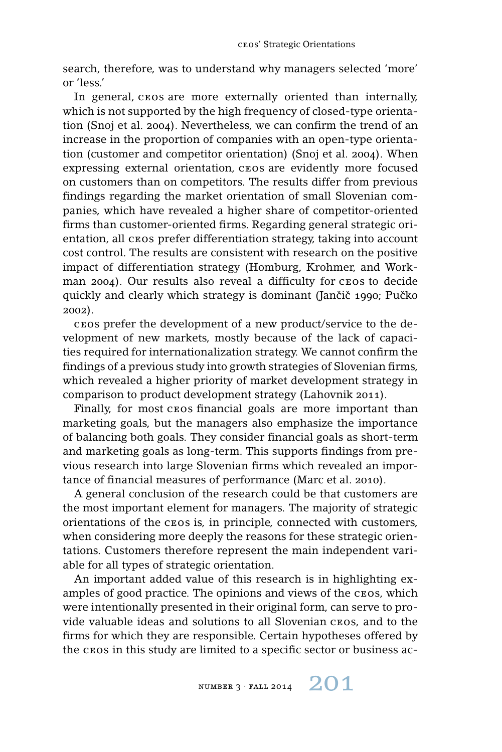search, therefore, was to understand why managers selected 'more' or 'less.'

In general, ceos are more externally oriented than internally, which is not supported by the high frequency of closed-type orientation (Snoj et al. 2004). Nevertheless, we can confirm the trend of an increase in the proportion of companies with an open-type orientation (customer and competitor orientation) (Snoj et al. 2004). When expressing external orientation, ceos are evidently more focused on customers than on competitors. The results differ from previous findings regarding the market orientation of small Slovenian companies, which have revealed a higher share of competitor-oriented firms than customer-oriented firms. Regarding general strategic orientation, all ceos prefer differentiation strategy, taking into account cost control. The results are consistent with research on the positive impact of differentiation strategy (Homburg, Krohmer, and Workman 2004). Our results also reveal a difficulty for cros to decide quickly and clearly which strategy is dominant (Jančič 1990; Pučko 2002).

ceos prefer the development of a new product/service to the development of new markets, mostly because of the lack of capacities required for internationalization strategy. We cannot confirm the findings of a previous study into growth strategies of Slovenian firms, which revealed a higher priority of market development strategy in comparison to product development strategy (Lahovnik 2011).

Finally, for most ceos financial goals are more important than marketing goals, but the managers also emphasize the importance of balancing both goals. They consider financial goals as short-term and marketing goals as long-term. This supports findings from previous research into large Slovenian firms which revealed an importance of financial measures of performance (Marc et al. 2010).

A general conclusion of the research could be that customers are the most important element for managers. The majority of strategic orientations of the ceos is, in principle, connected with customers, when considering more deeply the reasons for these strategic orientations. Customers therefore represent the main independent variable for all types of strategic orientation.

An important added value of this research is in highlighting examples of good practice. The opinions and views of the ceos, which were intentionally presented in their original form, can serve to provide valuable ideas and solutions to all Slovenian ceos, and to the firms for which they are responsible. Certain hypotheses offered by the ceos in this study are limited to a specific sector or business ac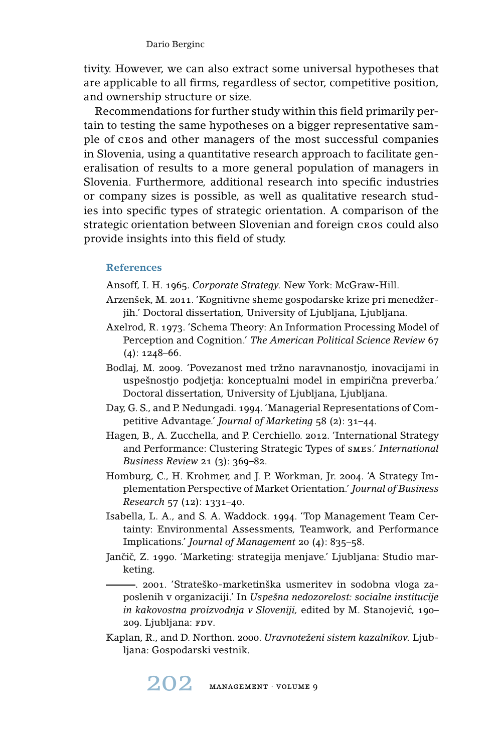tivity. However, we can also extract some universal hypotheses that are applicable to all firms, regardless of sector, competitive position, and ownership structure or size.

Recommendations for further study within this field primarily pertain to testing the same hypotheses on a bigger representative sample of ceos and other managers of the most successful companies in Slovenia, using a quantitative research approach to facilitate generalisation of results to a more general population of managers in Slovenia. Furthermore, additional research into specific industries or company sizes is possible, as well as qualitative research studies into specific types of strategic orientation. A comparison of the strategic orientation between Slovenian and foreign cros could also provide insights into this field of study.

# **References**

Ansoff, I. H. 1965. *Corporate Strategy.* New York: McGraw-Hill.

- Arzenšek, M. 2011. 'Kognitivne sheme gospodarske krize pri menedžerjih.' Doctoral dissertation, University of Ljubljana, Ljubljana.
- Axelrod, R. 1973. 'Schema Theory: An Information Processing Model of Perception and Cognition.' *The American Political Science Review* 67  $(4): 1248 - 66.$
- Bodlaj, M. 2009. 'Povezanost med tržno naravnanostjo, inovacijami in uspešnostjo podjetja: konceptualni model in empirična preverba.' Doctoral dissertation, University of Ljubljana, Ljubljana.
- Day, G. S., and P. Nedungadi. 1994. 'Managerial Representations of Competitive Advantage.' *Journal of Marketing* 58 (2): 31–44.
- Hagen, B., A. Zucchella, and P. Cerchiello. 2012. 'International Strategy and Performance: Clustering Strategic Types of smes.' *International Business Review* 21 (3): 369–82.
- Homburg, C., H. Krohmer, and J. P. Workman, Jr. 2004. 'A Strategy Implementation Perspective of Market Orientation.' *Journal of Business Research* 57 (12): 1331–40.
- Isabella, L. A., and S. A. Waddock. 1994. 'Top Management Team Certainty: Environmental Assessments, Teamwork, and Performance Implications.' *Journal of Management* 20 (4): 835–58.
- Jančič, Z. 1990. 'Marketing: strategija menjave.' Ljubljana: Studio marketing.
	- . 2001. 'Strateško-marketinška usmeritev in sodobna vloga zaposlenih v organizaciji.' In *Uspešna nedozorelost: socialne institucije in kakovostna proizvodnja v Sloveniji,* edited by M. Stanojevic, 190– ´ 209. Ljubljana: FDV.
- Kaplan, R., and D. Northon. 2000. *Uravnoteženi sistem kazalnikov.* Ljubljana: Gospodarski vestnik.

202 management · volume 9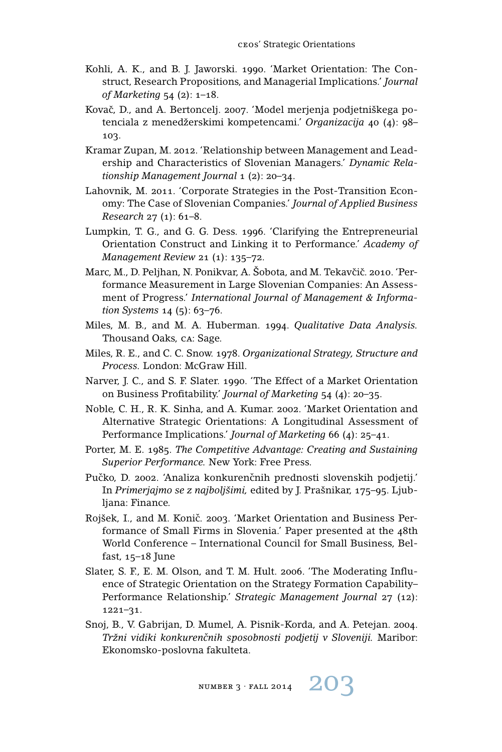- Kohli, A. K., and B. J. Jaworski. 1990. 'Market Orientation: The Construct, Research Propositions, and Managerial Implications.' *Journal of Marketing* 54 (2): 1–18.
- Kovač, D., and A. Bertoncelj. 2007. 'Model merjenja podjetniškega potenciala z menedžerskimi kompetencami.' *Organizacija* 40 (4): 98– 103.
- Kramar Zupan, M. 2012. 'Relationship between Management and Leadership and Characteristics of Slovenian Managers.' *Dynamic Relationship Management Journal* 1 (2): 20–34.
- Lahovnik, M. 2011. 'Corporate Strategies in the Post-Transition Economy: The Case of Slovenian Companies.' *Journal of Applied Business Research* 27 (1): 61–8.
- Lumpkin, T. G., and G. G. Dess. 1996. 'Clarifying the Entrepreneurial Orientation Construct and Linking it to Performance.' *Academy of Management Review* 21 (1): 135–72.
- Marc, M., D. Peljhan, N. Ponikvar, A. Šobota, and M. Tekavčič. 2010. 'Performance Measurement in Large Slovenian Companies: An Assessment of Progress.' *International Journal of Management & Information Systems* 14 (5): 63–76.
- Miles, M. B., and M. A. Huberman. 1994. *Qualitative Data Analysis.* Thousand Oaks, ca: Sage.
- Miles, R. E., and C. C. Snow. 1978. *Organizational Strategy, Structure and Process.* London: McGraw Hill.
- Narver, J. C., and S. F. Slater. 1990. 'The Effect of a Market Orientation on Business Profitability.' *Journal of Marketing* 54 (4): 20–35.
- Noble, C. H., R. K. Sinha, and A. Kumar. 2002. 'Market Orientation and Alternative Strategic Orientations: A Longitudinal Assessment of Performance Implications.' *Journal of Marketing* 66 (4): 25–41.
- Porter, M. E. 1985. *The Competitive Advantage: Creating and Sustaining Superior Performance.* New York: Free Press.
- Pučko, D. 2002. 'Analiza konkurenčnih prednosti slovenskih podjetij.' In *Primerjajmo se z najboljšimi,* edited by J. Prašnikar, 175–95. Ljubljana: Finance.
- Rojšek, I., and M. Konič. 2003. 'Market Orientation and Business Performance of Small Firms in Slovenia.' Paper presented at the 48th World Conference – International Council for Small Business, Belfast, 15–18 June
- Slater, S. F., E. M. Olson, and T. M. Hult. 2006. 'The Moderating Influence of Strategic Orientation on the Strategy Formation Capability– Performance Relationship.' *Strategic Management Journal* 27 (12): 1221–31.
- Snoj, B., V. Gabrijan, D. Mumel, A. Pisnik-Korda, and A. Petejan. 2004. *Tržni vidiki konkurencnih sposobnosti podjetij v Sloveniji. ˇ* Maribor: Ekonomsko-poslovna fakulteta.

NUMBER 3 · FALL 2014  $203$